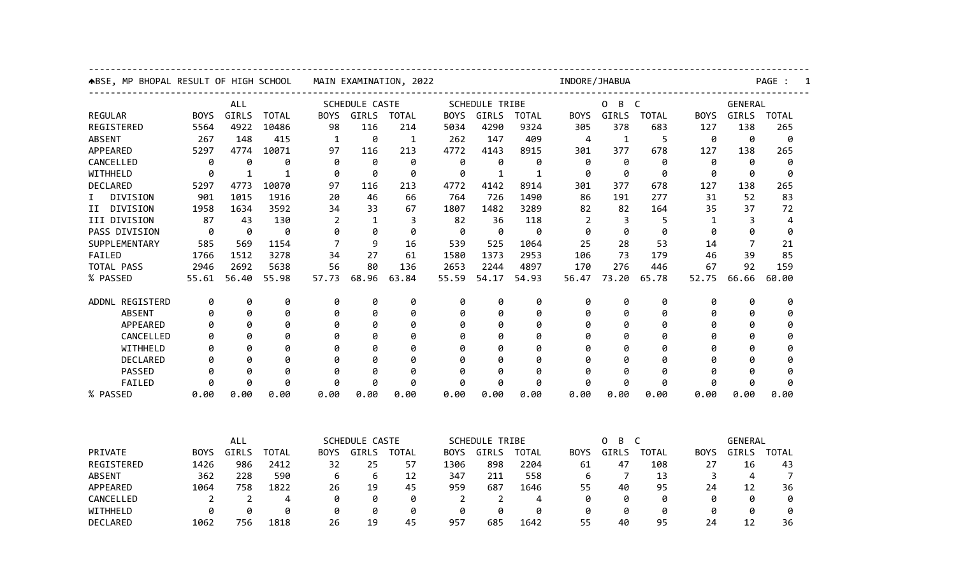| ABSE, MP BHOPAL RESULT OF HIGH SCHOOL | MAIN EXAMINATION, 2022 |                     |              |                                                        |              | INDORE/JHABUA |                                                               |                       |                                           |                |                        | PAGE :<br>1  |                                      |                |                |  |  |
|---------------------------------------|------------------------|---------------------|--------------|--------------------------------------------------------|--------------|---------------|---------------------------------------------------------------|-----------------------|-------------------------------------------|----------------|------------------------|--------------|--------------------------------------|----------------|----------------|--|--|
|                                       | <b>ALL</b>             |                     |              | SCHEDULE CASTE                                         |              |               |                                                               | <b>SCHEDULE TRIBE</b> |                                           |                | 0<br>B<br>$\mathsf{C}$ |              |                                      | <b>GENERAL</b> |                |  |  |
| <b>REGULAR</b>                        | <b>BOYS</b>            | GIRLS               | <b>TOTAL</b> | <b>BOYS</b>                                            | GIRLS        | <b>TOTAL</b>  | <b>BOYS</b>                                                   | <b>GIRLS</b>          | <b>TOTAL</b>                              | <b>BOYS</b>    | GIRLS                  | <b>TOTAL</b> | <b>BOYS</b>                          | GIRLS          | <b>TOTAL</b>   |  |  |
| REGISTERED                            | 5564                   | 4922                | 10486        | 98                                                     | 116          | 214           | 5034                                                          | 4290                  | 9324                                      | 305            | 378                    | 683          | 127                                  | 138            | 265            |  |  |
| <b>ABSENT</b>                         | 267                    | 148                 | 415          | 1                                                      | 0            | 1             | 262                                                           | 147                   | 409                                       | 4              | 1                      | 5            | 0                                    | 0              | 0              |  |  |
| APPEARED                              | 5297                   | 4774                | 10071        | 97                                                     | 116          | 213           | 4772                                                          | 4143                  | 8915                                      | 301            | 377                    | 678          | 127                                  | 138            | 265            |  |  |
| CANCELLED                             | 0                      | 0                   | 0            | 0                                                      | 0            | 0             | 0                                                             | 0                     | 0                                         | 0              | 0                      | 0            | 0                                    | 0              | 0              |  |  |
| WITHHELD                              | 0                      | $\mathbf{1}$        | $\mathbf{1}$ | 0                                                      | 0            | 0             | 0                                                             | 1                     | $\mathbf{1}$                              | 0              | 0                      | 0            | 0                                    | 0              | 0              |  |  |
| DECLARED                              | 5297                   | 4773                | 10070        | 97                                                     | 116          | 213           | 4772                                                          | 4142                  | 8914                                      | 301            | 377                    | 678          | 127                                  | 138            | 265            |  |  |
| DIVISION<br>I.                        | 901                    | 1015                | 1916         | 20                                                     | 46           | 66            | 764                                                           | 726                   | 1490                                      | 86             | 191                    | 277          | 31                                   | 52             | 83             |  |  |
| II DIVISION                           | 1958                   | 1634                | 3592         | 34                                                     | 33           | 67            | 1807                                                          | 1482                  | 3289                                      | 82             | 82                     | 164          | 35                                   | 37             | 72             |  |  |
| III DIVISION                          | 87                     | 43                  | 130          | $\overline{2}$                                         | $\mathbf{1}$ | 3             | 82                                                            | 36                    | 118                                       | $\overline{2}$ | 3                      | 5            | 1                                    | 3              | $\overline{4}$ |  |  |
| PASS DIVISION                         | 0                      | 0                   | 0            | 0                                                      | 0            | 0             | 0                                                             | 0                     | 0                                         | 0              | 0                      | 0            | 0                                    | 0              | 0              |  |  |
| SUPPLEMENTARY                         | 585                    | 569                 | 1154         | 7                                                      | 9            | 16            | 539                                                           | 525                   | 1064                                      | 25             | 28                     | 53           | 14                                   | $\overline{7}$ | 21             |  |  |
| FAILED                                | 1766                   | 1512                | 3278         | 34                                                     | 27           | 61            | 1580                                                          | 1373                  | 2953                                      | 106            | 73                     | 179          | 46                                   | 39             | 85             |  |  |
| TOTAL PASS                            | 2946                   | 2692                | 5638         | 56                                                     | 80           | 136           | 2653                                                          | 2244                  | 4897                                      | 170            | 276                    | 446          | 67                                   | 92             | 159            |  |  |
| % PASSED                              | 55.61                  | 56.40               | 55.98        | 57.73                                                  | 68.96        | 63.84         | 55.59                                                         | 54.17                 | 54.93                                     | 56.47          | 73.20                  | 65.78        | 52.75                                | 66.66          | 60.00          |  |  |
| ADDNL REGISTERD                       | 0                      | 0                   | 0            | 0                                                      | 0            | 0             | 0                                                             | 0                     | 0                                         | 0              | 0                      | 0            | 0                                    | 0              | 0              |  |  |
| <b>ABSENT</b>                         | 0                      | 0                   | 0            | 0                                                      | 0            | 0             | 0                                                             | 0                     | 0                                         | 0              | 0                      | 0            | 0                                    | 0              | 0              |  |  |
| APPEARED                              | Ø                      | 0                   | 0            | 0                                                      | 0            | 0             | 0                                                             | 0                     | 0                                         | 0              | 0                      | 0            | 0                                    | 0              | 0              |  |  |
| CANCELLED                             | Ø                      | 0                   | 0            | Ø                                                      | 0            | 0             | 0                                                             | 0                     | 0                                         | 0              | 0                      | 0            | 0                                    | 0              | 0              |  |  |
| WITHHELD                              | Ø                      | ø                   | 0            | Ø                                                      | 0            | 0             | 0                                                             | 0                     | 0                                         | Ø              | 0                      | 0            | ø                                    | 0              | 0              |  |  |
| DECLARED                              | Ø                      | ø                   | 0            | Ø                                                      | 0            | 0             | 0                                                             | ø                     | ø                                         | ø              | 0                      | ø            | ø                                    | ø              | 0              |  |  |
| PASSED                                | ø                      | Ø                   | 0            | ø                                                      | 0            | 0             | 0                                                             | 0                     | 0                                         | ø              | 0                      | 0            | ø                                    | 0              | ø              |  |  |
| FAILED                                | ø                      | ø                   | 0            | 0                                                      | 0            | 0             | 0                                                             | 0                     | 0                                         | 0              | 0                      | 0            | 0                                    | 0              | 0              |  |  |
| % PASSED                              | 0.00                   | 0.00                | 0.00         | 0.00                                                   | 0.00         | 0.00          | 0.00                                                          | 0.00                  | 0.00                                      | 0.00           | 0.00                   | 0.00         | 0.00                                 | 0.00           | 0.00           |  |  |
|                                       |                        | ALL                 |              |                                                        |              |               |                                                               |                       |                                           |                | B<br>0                 |              |                                      | <b>GENERAL</b> |                |  |  |
| PRIVATE                               | <b>BOYS</b>            | GIRLS               | <b>TOTAL</b> | SCHEDULE CASTE<br><b>BOYS</b><br>GIRLS<br><b>TOTAL</b> |              |               | <b>SCHEDULE TRIBE</b><br><b>BOYS</b><br>GIRLS<br><b>TOTAL</b> |                       | C<br>GIRLS<br><b>TOTAL</b><br><b>BOYS</b> |                |                        |              | <b>BOYS</b><br>GIRLS<br><b>TOTAL</b> |                |                |  |  |
| REGISTERED                            | 1426                   | 986                 | 2412         | 32                                                     | 25           | 57            | 1306                                                          | 898                   | 2204                                      |                | 47                     | 108          | 27                                   | 16             | 43             |  |  |
| <b>ABSENT</b>                         | 362                    | 228                 | 590          | 6                                                      | 6            | 12            | 347                                                           | 211                   | 558                                       | 61<br>6        | 7                      | 13           | 3                                    | 4              | 7              |  |  |
| APPEARED                              | 1064                   | 758                 | 1822         | 26                                                     | 19           | 45            | 959                                                           | 687                   | 1646                                      | 55             | 40                     | 95           | 24                                   | 12             | 36             |  |  |
| CANCELLED                             |                        |                     |              | 0                                                      | 0            |               |                                                               |                       |                                           | 0              |                        |              | 0                                    |                |                |  |  |
| WITHHELD                              | 2<br>0                 | $\overline{2}$<br>0 | 4<br>0       | 0                                                      | 0            | 0<br>0        | 2<br>0                                                        | $\overline{2}$<br>0   | 4<br>0                                    | 0              | 0<br>0                 | 0<br>0       | 0                                    | 0<br>0         | 0<br>0         |  |  |
|                                       |                        |                     |              |                                                        | 19           |               |                                                               | 685                   |                                           | 55             |                        | 95           |                                      | 12             | 36             |  |  |
| DECLARED                              | 1062                   | 756                 | 1818         | 26                                                     |              | 45            | 957                                                           |                       | 1642                                      |                | 40                     |              | 24                                   |                |                |  |  |